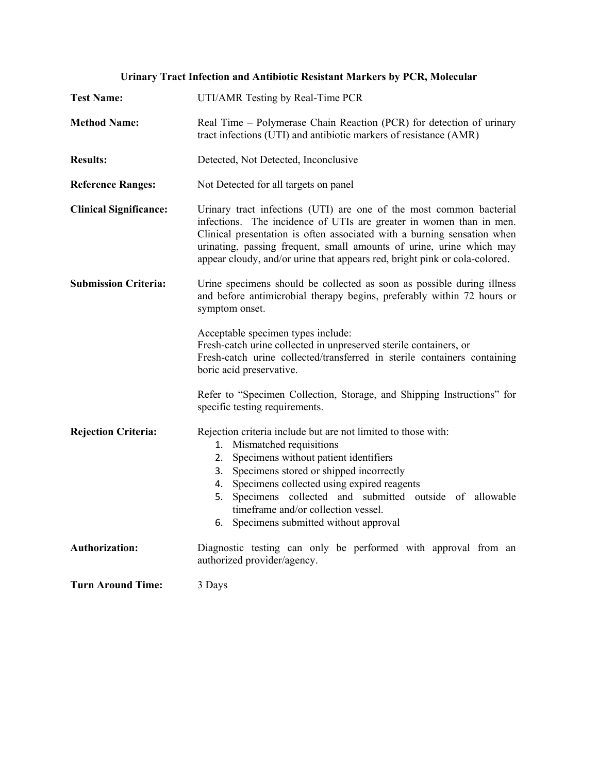| <b>Test Name:</b>             | UTI/AMR Testing by Real-Time PCR                                                                                                                                                                                                                                                                                                                                                      |
|-------------------------------|---------------------------------------------------------------------------------------------------------------------------------------------------------------------------------------------------------------------------------------------------------------------------------------------------------------------------------------------------------------------------------------|
| <b>Method Name:</b>           | Real Time – Polymerase Chain Reaction (PCR) for detection of urinary<br>tract infections (UTI) and antibiotic markers of resistance (AMR)                                                                                                                                                                                                                                             |
| <b>Results:</b>               | Detected, Not Detected, Inconclusive                                                                                                                                                                                                                                                                                                                                                  |
| <b>Reference Ranges:</b>      | Not Detected for all targets on panel                                                                                                                                                                                                                                                                                                                                                 |
| <b>Clinical Significance:</b> | Urinary tract infections (UTI) are one of the most common bacterial<br>infections. The incidence of UTIs are greater in women than in men.<br>Clinical presentation is often associated with a burning sensation when<br>urinating, passing frequent, small amounts of urine, urine which may<br>appear cloudy, and/or urine that appears red, bright pink or cola-colored.           |
| <b>Submission Criteria:</b>   | Urine specimens should be collected as soon as possible during illness<br>and before antimicrobial therapy begins, preferably within 72 hours or<br>symptom onset.                                                                                                                                                                                                                    |
|                               | Acceptable specimen types include:<br>Fresh-catch urine collected in unpreserved sterile containers, or<br>Fresh-catch urine collected/transferred in sterile containers containing<br>boric acid preservative.                                                                                                                                                                       |
|                               | Refer to "Specimen Collection, Storage, and Shipping Instructions" for<br>specific testing requirements.                                                                                                                                                                                                                                                                              |
| <b>Rejection Criteria:</b>    | Rejection criteria include but are not limited to those with:<br>1. Mismatched requisitions<br>2. Specimens without patient identifiers<br>3. Specimens stored or shipped incorrectly<br>4. Specimens collected using expired reagents<br>5. Specimens collected and submitted outside of allowable<br>timeframe and/or collection vessel.<br>6. Specimens submitted without approval |
| <b>Authorization:</b>         | Diagnostic testing can only be performed with approval from an<br>authorized provider/agency.                                                                                                                                                                                                                                                                                         |
| <b>Turn Around Time:</b>      | 3 Days                                                                                                                                                                                                                                                                                                                                                                                |

**Urinary Tract Infection and Antibiotic Resistant Markers by PCR, Molecular**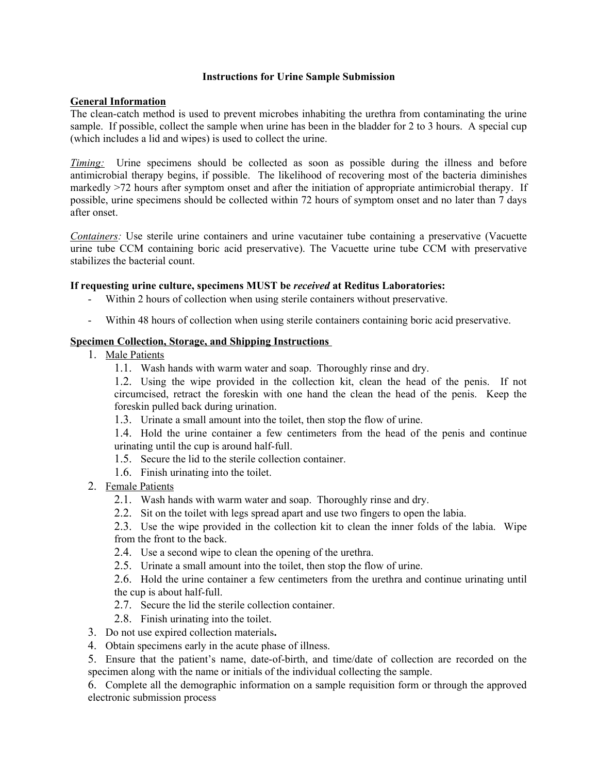#### **Instructions for Urine Sample Submission**

### **General Information**

The clean-catch method is used to prevent microbes inhabiting the urethra from contaminating the urine sample. If possible, collect the sample when urine has been in the bladder for 2 to 3 hours. A special cup (which includes a lid and wipes) is used to collect the urine.

*Timing:* Urine specimens should be collected as soon as possible during the illness and before antimicrobial therapy begins, if possible. The likelihood of recovering most of the bacteria diminishes markedly >72 hours after symptom onset and after the initiation of appropriate antimicrobial therapy. If possible, urine specimens should be collected within 72 hours of symptom onset and no later than 7 days after onset.

*Containers:* Use sterile urine containers and urine vacutainer tube containing a preservative (Vacuette urine tube CCM containing boric acid preservative). The Vacuette urine tube CCM with preservative stabilizes the bacterial count.

# **If requesting urine culture, specimens MUST be** *received* **at Reditus Laboratories:**

- Within 2 hours of collection when using sterile containers without preservative.
- Within 48 hours of collection when using sterile containers containing boric acid preservative.

### **Specimen Collection, Storage, and Shipping Instructions**

- 1. Male Patients
	- 1.1. Wash hands with warm water and soap. Thoroughly rinse and dry.

1.2. Using the wipe provided in the collection kit, clean the head of the penis. If not circumcised, retract the foreskin with one hand the clean the head of the penis. Keep the foreskin pulled back during urination.

1.3. Urinate a small amount into the toilet, then stop the flow of urine.

1.4. Hold the urine container a few centimeters from the head of the penis and continue urinating until the cup is around half-full.

- 1.5. Secure the lid to the sterile collection container.
- 1.6. Finish urinating into the toilet.
- 2. Female Patients
	- 2.1. Wash hands with warm water and soap. Thoroughly rinse and dry.
	- 2.2. Sit on the toilet with legs spread apart and use two fingers to open the labia.
	- 2.3. Use the wipe provided in the collection kit to clean the inner folds of the labia. Wipe from the front to the back.
	- 2.4. Use a second wipe to clean the opening of the urethra.
	- 2.5. Urinate a small amount into the toilet, then stop the flow of urine.

2.6. Hold the urine container a few centimeters from the urethra and continue urinating until the cup is about half-full.

- 2.7. Secure the lid the sterile collection container.
- 2.8. Finish urinating into the toilet.
- 3. Do not use expired collection materials**.**
- 4. Obtain specimens early in the acute phase of illness.

5. Ensure that the patient's name, date-of-birth, and time/date of collection are recorded on the specimen along with the name or initials of the individual collecting the sample.

6. Complete all the demographic information on a sample requisition form or through the approved electronic submission process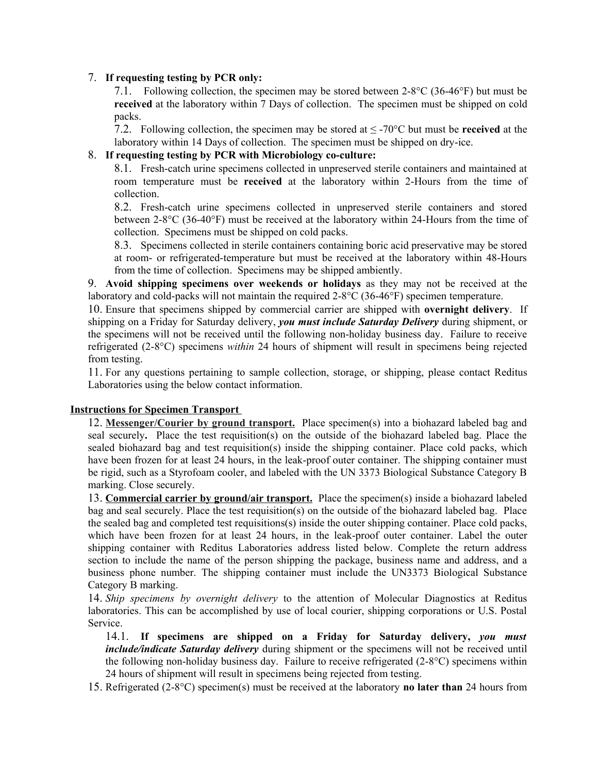# 7. **If requesting testing by PCR only:**

7.1. Following collection, the specimen may be stored between 2-8°C (36-46°F) but must be **received** at the laboratory within 7 Days of collection. The specimen must be shipped on cold packs.

7.2. Following collection, the specimen may be stored at ≤ -70°C but must be **received** at the laboratory within 14 Days of collection. The specimen must be shipped on dry-ice.

### 8. **If requesting testing by PCR with Microbiology co-culture:**

8.1. Fresh-catch urine specimens collected in unpreserved sterile containers and maintained at room temperature must be **received** at the laboratory within 2-Hours from the time of collection.

8.2. Fresh-catch urine specimens collected in unpreserved sterile containers and stored between 2-8°C (36-40°F) must be received at the laboratory within 24-Hours from the time of collection. Specimens must be shipped on cold packs.

8.3. Specimens collected in sterile containers containing boric acid preservative may be stored at room- or refrigerated-temperature but must be received at the laboratory within 48-Hours from the time of collection. Specimens may be shipped ambiently.

9. **Avoid shipping specimens over weekends or holidays** as they may not be received at the laboratory and cold-packs will not maintain the required 2-8°C (36-46°F) specimen temperature.

10. Ensure that specimens shipped by commercial carrier are shipped with **overnight delivery**. If shipping on a Friday for Saturday delivery, *you must include Saturday Delivery* during shipment, or the specimens will not be received until the following non-holiday business day. Failure to receive refrigerated (2-8°C) specimens *within* 24 hours of shipment will result in specimens being rejected from testing.

11. For any questions pertaining to sample collection, storage, or shipping, please contact Reditus Laboratories using the below contact information.

# **Instructions for Specimen Transport**

12. **Messenger/Courier by ground transport.** Place specimen(s) into a biohazard labeled bag and seal securely**.** Place the test requisition(s) on the outside of the biohazard labeled bag. Place the sealed biohazard bag and test requisition(s) inside the shipping container. Place cold packs, which have been frozen for at least 24 hours, in the leak-proof outer container. The shipping container must be rigid, such as a Styrofoam cooler, and labeled with the UN 3373 Biological Substance Category B marking. Close securely.

13. **Commercial carrier by ground/air transport.** Place the specimen(s) inside a biohazard labeled bag and seal securely. Place the test requisition(s) on the outside of the biohazard labeled bag. Place the sealed bag and completed test requisitions(s) inside the outer shipping container. Place cold packs, which have been frozen for at least 24 hours, in the leak-proof outer container. Label the outer shipping container with Reditus Laboratories address listed below. Complete the return address section to include the name of the person shipping the package, business name and address, and a business phone number. The shipping container must include the UN3373 Biological Substance Category B marking.

14. *Ship specimens by overnight delivery* to the attention of Molecular Diagnostics at Reditus laboratories. This can be accomplished by use of local courier, shipping corporations or U.S. Postal Service.

14.1. **If specimens are shipped on a Friday for Saturday delivery,** *you must include/indicate Saturday delivery* during shipment or the specimens will not be received until the following non-holiday business day. Failure to receive refrigerated (2-8°C) specimens within 24 hours of shipment will result in specimens being rejected from testing.

15. Refrigerated (2-8°C) specimen(s) must be received at the laboratory **no later than** 24 hours from